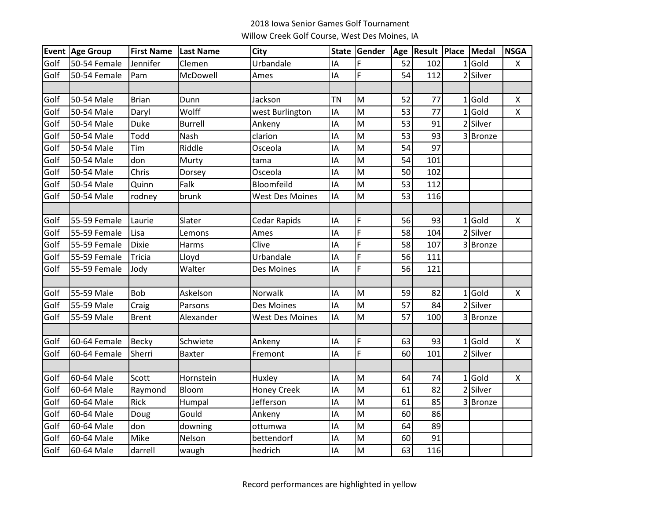## 2018 Iowa Senior Games Golf Tournament Willow Creek Golf Course, West Des Moines, IA

|      | <b>Event Age Group</b> | <b>First Name</b> | <b>Last Name</b> | <b>City</b>            |           | State Gender |                 | Age   Result   Place   Medal |                       | <b>NSGA</b>        |
|------|------------------------|-------------------|------------------|------------------------|-----------|--------------|-----------------|------------------------------|-----------------------|--------------------|
| Golf | 50-54 Female           | Jennifer          | Clemen           | Urbandale              | IA        | F            | 52              | 102                          | $1$ Gold              | X                  |
| Golf | 50-54 Female           | Pam               | McDowell         | Ames                   | IA        | F            | 54              | 112                          | 2 Silver              |                    |
|      |                        |                   |                  |                        |           |              |                 |                              |                       |                    |
| Golf | 50-54 Male             | <b>Brian</b>      | Dunn             | Jackson                | <b>TN</b> | M            | 52              | 77                           | $1$ Gold              | X                  |
| Golf | 50-54 Male             | Daryl             | Wolff            | west Burlington        | IA        | M            | 53              | 77                           | $1$ Gold              | $\pmb{\mathsf{X}}$ |
| Golf | 50-54 Male             | Duke              | <b>Burrell</b>   | Ankeny                 | IA        | M            | 53              | 91                           | 2 Silver              |                    |
| Golf | 50-54 Male             | Todd              | Nash             | clarion                | IA        | M            | 53              | 93                           | 3 Bronze              |                    |
| Golf | 50-54 Male             | Tim               | Riddle           | Osceola                | IA        | M            | 54              | 97                           |                       |                    |
| Golf | 50-54 Male             | don               | Murty            | tama                   | IA        | M            | 54              | 101                          |                       |                    |
| Golf | 50-54 Male             | Chris             | Dorsey           | Osceola                | IA        | M            | 50              | 102                          |                       |                    |
| Golf | 50-54 Male             | Quinn             | Falk             | Bloomfeild             | IA        | M            | 53              | 112                          |                       |                    |
| Golf | 50-54 Male             | rodney            | brunk            | <b>West Des Moines</b> | IA        | M            | 53              | 116                          |                       |                    |
|      |                        |                   |                  |                        |           |              |                 |                              |                       |                    |
| Golf | 55-59 Female           | Laurie            | Slater           | Cedar Rapids           | IA        | F            | 56              | 93                           | $1$ Gold              | X                  |
| Golf | 55-59 Female           | Lisa              | Lemons           | Ames                   | IA        | F            | 58              | 104                          | $\overline{2}$ Silver |                    |
| Golf | 55-59 Female           | <b>Dixie</b>      | Harms            | Clive                  | IA        | F            | 58              | 107                          | 3Bronze               |                    |
| Golf | 55-59 Female           | <b>Tricia</b>     | Lloyd            | Urbandale              | IA        | F            | 56              | 111                          |                       |                    |
| Golf | 55-59 Female           | Jody              | Walter           | Des Moines             | IA        | F            | 56              | 121                          |                       |                    |
|      |                        |                   |                  |                        |           |              |                 |                              |                       |                    |
| Golf | 55-59 Male             | Bob               | Askelson         | Norwalk                | IA        | M            | 59              | 82                           | $1$ Gold              | X                  |
| Golf | 55-59 Male             | Craig             | Parsons          | Des Moines             | IA        | M            | $\overline{57}$ | 84                           | 2 Silver              |                    |
| Golf | 55-59 Male             | <b>Brent</b>      | Alexander        | <b>West Des Moines</b> | IA        | M            | 57              | 100                          | 3 Bronze              |                    |
|      |                        |                   |                  |                        |           |              |                 |                              |                       |                    |
| Golf | 60-64 Female           | <b>Becky</b>      | Schwiete         | Ankeny                 | IA        | F            | 63              | 93                           | $1$ Gold              | X                  |
| Golf | 60-64 Female           | Sherri            | <b>Baxter</b>    | Fremont                | IA        | $\mathsf{F}$ | 60              | 101                          | 2 Silver              |                    |
|      |                        |                   |                  |                        |           |              |                 |                              |                       |                    |
| Golf | 60-64 Male             | Scott             | Hornstein        | Huxley                 | IA        | M            | 64              | 74                           | $1$ Gold              | X                  |
| Golf | 60-64 Male             | Raymond           | Bloom            | <b>Honey Creek</b>     | IA        | M            | 61              | 82                           | 2 Silver              |                    |
| Golf | 60-64 Male             | Rick              | Humpal           | Jefferson              | IA        | M            | 61              | 85                           | 3Bronze               |                    |
| Golf | 60-64 Male             | Doug              | Gould            | Ankeny                 | IA        | M            | 60              | 86                           |                       |                    |
| Golf | 60-64 Male             | don               | downing          | ottumwa                | IA        | M            | 64              | 89                           |                       |                    |
| Golf | 60-64 Male             | Mike              | Nelson           | bettendorf             | IA        | M            | 60              | 91                           |                       |                    |
| Golf | 60-64 Male             | darrell           | waugh            | hedrich                | IA        | M            | 63              | 116                          |                       |                    |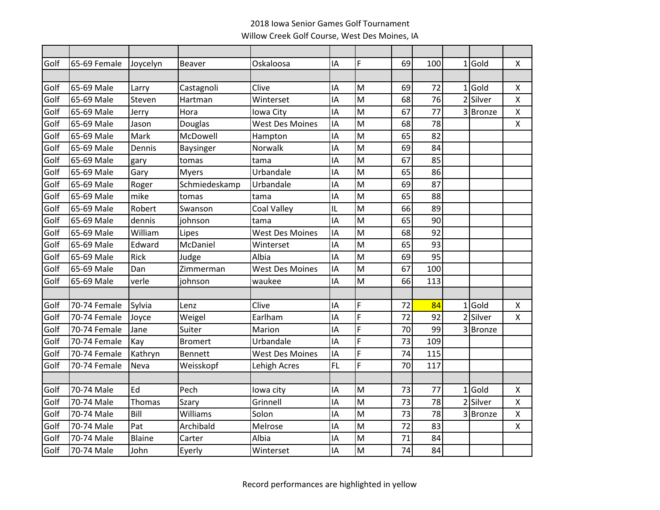## 2018 Iowa Senior Games Golf Tournament Willow Creek Golf Course, West Des Moines, IA

| Golf | 65-69 Female | Joycelyn      | Beaver         | Oskaloosa              | IA        | F                                                                                     | 69 | 100 | 1 | Gold     | $\mathsf{X}$              |
|------|--------------|---------------|----------------|------------------------|-----------|---------------------------------------------------------------------------------------|----|-----|---|----------|---------------------------|
|      |              |               |                |                        |           |                                                                                       |    |     |   |          |                           |
| Golf | 65-69 Male   | Larry         | Castagnoli     | Clive                  | IA        | M                                                                                     | 69 | 72  |   | $1$ Gold | $\pmb{\times}$            |
| Golf | 65-69 Male   | Steven        | Hartman        | Winterset              | IA        | M                                                                                     | 68 | 76  |   | 2 Silver | $\pmb{\chi}$              |
| Golf | 65-69 Male   | Jerry         | Hora           | lowa City              | IA        | M                                                                                     | 67 | 77  |   | 3 Bronze | $\mathsf{\chi}$           |
| Golf | 65-69 Male   | Jason         | Douglas        | <b>West Des Moines</b> | IA        | M                                                                                     | 68 | 78  |   |          | $\pmb{\chi}$              |
| Golf | 65-69 Male   | Mark          | McDowell       | Hampton                | IA        | M                                                                                     | 65 | 82  |   |          |                           |
| Golf | 65-69 Male   | Dennis        | Baysinger      | Norwalk                | IA        | M                                                                                     | 69 | 84  |   |          |                           |
| Golf | 65-69 Male   | gary          | tomas          | tama                   | IA        | M                                                                                     | 67 | 85  |   |          |                           |
| Golf | 65-69 Male   | Gary          | <b>Myers</b>   | Urbandale              | IA        | M                                                                                     | 65 | 86  |   |          |                           |
| Golf | 65-69 Male   | Roger         | Schmiedeskamp  | Urbandale              | IA        | M                                                                                     | 69 | 87  |   |          |                           |
| Golf | 65-69 Male   | mike          | tomas          | tama                   | IA        | M                                                                                     | 65 | 88  |   |          |                           |
| Golf | 65-69 Male   | Robert        | Swanson        | <b>Coal Valley</b>     | IL        | M                                                                                     | 66 | 89  |   |          |                           |
| Golf | 65-69 Male   | dennis        | johnson        | tama                   | IA        | M                                                                                     | 65 | 90  |   |          |                           |
| Golf | 65-69 Male   | William       | Lipes          | <b>West Des Moines</b> | IA        | M                                                                                     | 68 | 92  |   |          |                           |
| Golf | 65-69 Male   | Edward        | McDaniel       | Winterset              | IA        | M                                                                                     | 65 | 93  |   |          |                           |
| Golf | 65-69 Male   | Rick          | Judge          | Albia                  | IA        | M                                                                                     | 69 | 95  |   |          |                           |
| Golf | 65-69 Male   | Dan           | Zimmerman      | <b>West Des Moines</b> | IA        | M                                                                                     | 67 | 100 |   |          |                           |
| Golf | 65-69 Male   | verle         | johnson        | waukee                 | IA        | M                                                                                     | 66 | 113 |   |          |                           |
|      |              |               |                |                        |           |                                                                                       |    |     |   |          |                           |
| Golf | 70-74 Female | Sylvia        | Lenz           | Clive                  | IA        | F                                                                                     | 72 | 84  |   | $1$ Gold | X                         |
| Golf | 70-74 Female | Joyce         | Weigel         | Earlham                | IA        | F                                                                                     | 72 | 92  |   | 2 Silver | $\boldsymbol{\mathsf{X}}$ |
| Golf | 70-74 Female | Jane          | Suiter         | Marion                 | IA        | F                                                                                     | 70 | 99  |   | 3Bronze  |                           |
| Golf | 70-74 Female | Kay           | <b>Bromert</b> | Urbandale              | IA        | F                                                                                     | 73 | 109 |   |          |                           |
| Golf | 70-74 Female | Kathryn       | <b>Bennett</b> | West Des Moines        | IA        | F                                                                                     | 74 | 115 |   |          |                           |
| Golf | 70-74 Female | Neva          | Weisskopf      | Lehigh Acres           | <b>FL</b> | F                                                                                     | 70 | 117 |   |          |                           |
|      |              |               |                |                        |           |                                                                                       |    |     |   |          |                           |
| Golf | 70-74 Male   | Ed            | Pech           | lowa city              | IA        | $\mathsf{M}% _{T}=\mathsf{M}_{T}\!\left( a,b\right) ,\ \mathsf{M}_{T}=\mathsf{M}_{T}$ | 73 | 77  |   | $1$ Gold | $\pmb{\times}$            |
| Golf | 70-74 Male   | Thomas        | Szary          | Grinnell               | IA        | M                                                                                     | 73 | 78  |   | 2 Silver | $\pmb{\chi}$              |
| Golf | 70-74 Male   | Bill          | Williams       | Solon                  | IA        | M                                                                                     | 73 | 78  |   | 3 Bronze | $\pmb{\times}$            |
| Golf | 70-74 Male   | Pat           | Archibald      | Melrose                | IA        | M                                                                                     | 72 | 83  |   |          | $\pmb{\times}$            |
| Golf | 70-74 Male   | <b>Blaine</b> | Carter         | Albia                  | IA        | M                                                                                     | 71 | 84  |   |          |                           |
| Golf | 70-74 Male   | John          | Eyerly         | Winterset              | IA        | M                                                                                     | 74 | 84  |   |          |                           |